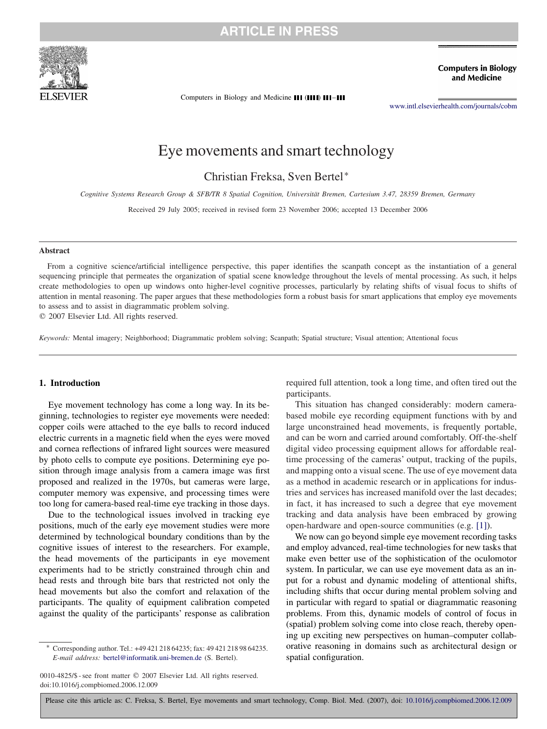

**Computers in Biology** and Medicine

Computers in Biology and Medicine III (IIII) III-III

[www.intl.elsevierhealth.com/journals/cobm](http://www.intl.elsevierhealth.com/journals/cobm)

# Eye movements and smart technology

Christian Freksa, Sven Bertel∗

*Cognitive Systems Research Group & SFB/TR 8 Spatial Cognition, Universität Bremen, Cartesium 3.47, 28359 Bremen, Germany*

Received 29 July 2005; received in revised form 23 November 2006; accepted 13 December 2006

### **Abstract**

From a cognitive science/artificial intelligence perspective, this paper identifies the scanpath concept as the instantiation of a general sequencing principle that permeates the organization of spatial scene knowledge throughout the levels of mental processing. As such, it helps create methodologies to open up windows onto higher-level cognitive processes, particularly by relating shifts of visual focus to shifts of attention in mental reasoning. The paper argues that these methodologies form a robust basis for smart applications that employ eye movements to assess and to assist in diagrammatic problem solving.

 $© 2007 Elsevier Ltd. All rights reserved.$ 

*Keywords:* Mental imagery; Neighborhood; Diagrammatic problem solving; Scanpath; Spatial structure; Visual attention; Attentional focus

# **1. Introduction**

Eye movement technology has come a long way. In its beginning, technologies to register eye movements were needed: copper coils were attached to the eye balls to record induced electric currents in a magnetic field when the eyes were moved and cornea reflections of infrared light sources were measured by photo cells to compute eye positions. Determining eye position through image analysis from a camera image was first proposed and realized in the 1970s, but cameras were large, computer memory was expensive, and processing times were too long for camera-based real-time eye tracking in those days.

Due to the technological issues involved in tracking eye positions, much of the early eye movement studies were more determined by technological boundary conditions than by the cognitive issues of interest to the researchers. For example, the head movements of the participants in eye movement experiments had to be strictly constrained through chin and head rests and through bite bars that restricted not only the head movements but also the comfort and relaxation of the participants. The quality of equipment calibration competed against the quality of the participants' response as calibration

0010-4825/\$ - see front matter © 2007 Elsevier Ltd. All rights reserved. doi:10.1016/j.compbiomed.2006.12.009

required full attention, took a long time, and often tired out the participants.

This situation has changed considerably: modern camerabased mobile eye recording equipment functions with by and large unconstrained head movements, is frequently portable, and can be worn and carried around comfortably. Off-the-shelf digital video processing equipment allows for affordable realtime processing of the cameras' output, tracking of the pupils, and mapping onto a visual scene. The use of eye movement data as a method in academic research or in applications for industries and services has increased manifold over the last decades; in fact, it has increased to such a degree that eye movement tracking and data analysis have been embraced by growing open-hardware and open-source communities (e.g. [\[1\]\)](#page-5-0).

We now can go beyond simple eye movement recording tasks and employ advanced, real-time technologies for new tasks that make even better use of the sophistication of the oculomotor system. In particular, we can use eye movement data as an input for a robust and dynamic modeling of attentional shifts, including shifts that occur during mental problem solving and in particular with regard to spatial or diagrammatic reasoning problems. From this, dynamic models of control of focus in (spatial) problem solving come into close reach, thereby opening up exciting new perspectives on human–computer collaborative reasoning in domains such as architectural design or spatial configuration.

Please cite this article as: C. Freksa, S. Bertel, Eye movements and smart technology, Comp. Biol. Med. (2007), doi: [10.1016/j.compbiomed.2006.12.009](http://dx.doi.org/10.1016/j.compbiomed.2006.12.009)

<sup>∗</sup> Corresponding author. Tel.: +49 421 218 64235; fax: 49 421 218 98 64235. *E-mail address:* [bertel@informatik.uni-bremen.de](mailto:bertel@informatik.uni-bremen.de) (S. Bertel).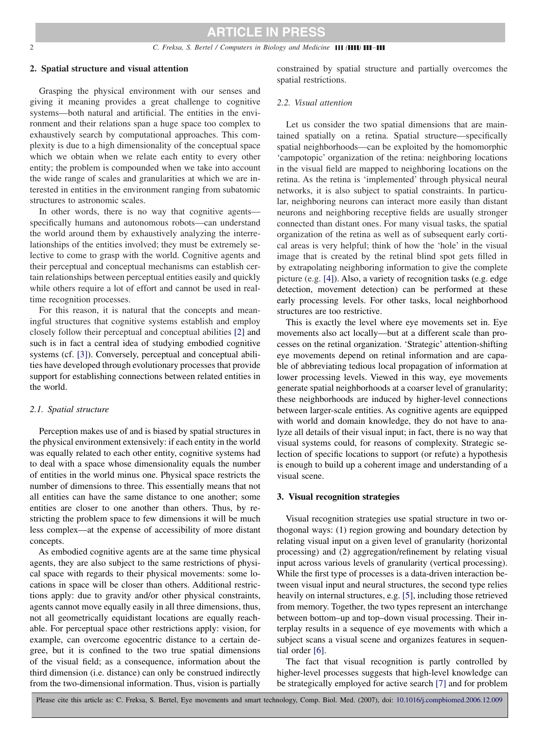## **2. Spatial structure and visual attention**

Grasping the physical environment with our senses and giving it meaning provides a great challenge to cognitive systems—both natural and artificial. The entities in the environment and their relations span a huge space too complex to exhaustively search by computational approaches. This complexity is due to a high dimensionality of the conceptual space which we obtain when we relate each entity to every other entity; the problem is compounded when we take into account the wide range of scales and granularities at which we are interested in entities in the environment ranging from subatomic structures to astronomic scales.

In other words, there is no way that cognitive agents specifically humans and autonomous robots—can understand the world around them by exhaustively analyzing the interrelationships of the entities involved; they must be extremely selective to come to grasp with the world. Cognitive agents and their perceptual and conceptual mechanisms can establish certain relationships between perceptual entities easily and quickly while others require a lot of effort and cannot be used in realtime recognition processes.

For this reason, it is natural that the concepts and meaningful structures that cognitive systems establish and employ closely follow their perceptual and conceptual abilities [\[2\]](#page-5-0) and such is in fact a central idea of studying embodied cognitive systems (cf. [\[3\]\)](#page-5-0). Conversely, perceptual and conceptual abilities have developed through evolutionary processes that provide support for establishing connections between related entities in the world.

## *2.1. Spatial structure*

Perception makes use of and is biased by spatial structures in the physical environment extensively: if each entity in the world was equally related to each other entity, cognitive systems had to deal with a space whose dimensionality equals the number of entities in the world minus one. Physical space restricts the number of dimensions to three. This essentially means that not all entities can have the same distance to one another; some entities are closer to one another than others. Thus, by restricting the problem space to few dimensions it will be much less complex—at the expense of accessibility of more distant concepts.

As embodied cognitive agents are at the same time physical agents, they are also subject to the same restrictions of physical space with regards to their physical movements: some locations in space will be closer than others. Additional restrictions apply: due to gravity and/or other physical constraints, agents cannot move equally easily in all three dimensions, thus, not all geometrically equidistant locations are equally reachable. For perceptual space other restrictions apply: vision, for example, can overcome egocentric distance to a certain degree, but it is confined to the two true spatial dimensions of the visual field; as a consequence, information about the third dimension (i.e. distance) can only be construed indirectly from the two-dimensional information. Thus, vision is partially

constrained by spatial structure and partially overcomes the spatial restrictions.

## *2.2. Visual attention*

Let us consider the two spatial dimensions that are maintained spatially on a retina. Spatial structure—specifically spatial neighborhoods—can be exploited by the homomorphic 'campotopic' organization of the retina: neighboring locations in the visual field are mapped to neighboring locations on the retina. As the retina is 'implemented' through physical neural networks, it is also subject to spatial constraints. In particular, neighboring neurons can interact more easily than distant neurons and neighboring receptive fields are usually stronger connected than distant ones. For many visual tasks, the spatial organization of the retina as well as of subsequent early cortical areas is very helpful; think of how the 'hole' in the visual image that is created by the retinal blind spot gets filled in by extrapolating neighboring information to give the complete picture (e.g. [\[4\]\)](#page-5-0). Also, a variety of recognition tasks (e.g. edge detection, movement detection) can be performed at these early processing levels. For other tasks, local neighborhood structures are too restrictive.

This is exactly the level where eye movements set in. Eye movements also act locally—but at a different scale than processes on the retinal organization. 'Strategic' attention-shifting eye movements depend on retinal information and are capable of abbreviating tedious local propagation of information at lower processing levels. Viewed in this way, eye movements generate spatial neighborhoods at a coarser level of granularity; these neighborhoods are induced by higher-level connections between larger-scale entities. As cognitive agents are equipped with world and domain knowledge, they do not have to analyze all details of their visual input; in fact, there is no way that visual systems could, for reasons of complexity. Strategic selection of specific locations to support (or refute) a hypothesis is enough to build up a coherent image and understanding of a visual scene.

## **3. Visual recognition strategies**

Visual recognition strategies use spatial structure in two orthogonal ways: (1) region growing and boundary detection by relating visual input on a given level of granularity (horizontal processing) and (2) aggregation/refinement by relating visual input across various levels of granularity (vertical processing). While the first type of processes is a data-driven interaction between visual input and neural structures, the second type relies heavily on internal structures, e.g. [\[5\],](#page-5-0) including those retrieved from memory. Together, the two types represent an interchange between bottom–up and top–down visual processing. Their interplay results in a sequence of eye movements with which a subject scans a visual scene and organizes features in sequential order [\[6\].](#page-5-0)

The fact that visual recognition is partly controlled by higher-level processes suggests that high-level knowledge can be strategically employed for active search [\[7\]](#page-5-0) and for problem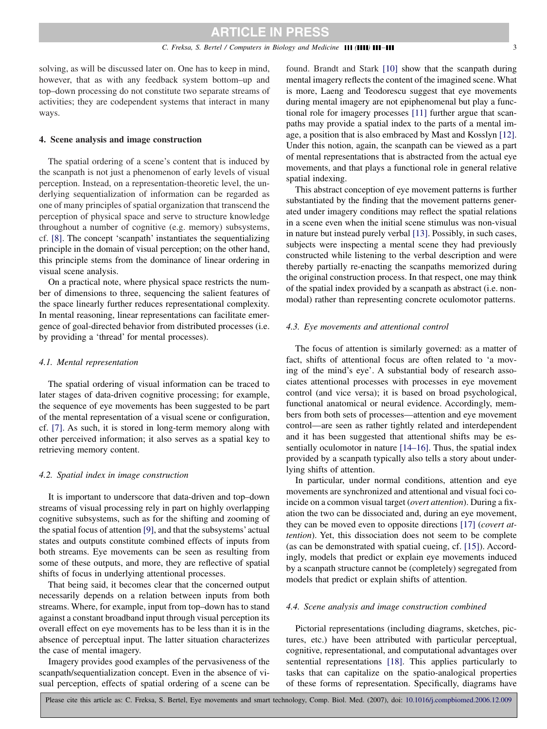# **4. Scene analysis and image construction**

ways.

The spatial ordering of a scene's content that is induced by the scanpath is not just a phenomenon of early levels of visual perception. Instead, on a representation-theoretic level, the underlying sequentialization of information can be regarded as one of many principles of spatial organization that transcend the perception of physical space and serve to structure knowledge throughout a number of cognitive (e.g. memory) subsystems, cf. [\[8\].](#page-5-0) The concept 'scanpath' instantiates the sequentializing principle in the domain of visual perception; on the other hand, this principle stems from the dominance of linear ordering in visual scene analysis.

On a practical note, where physical space restricts the number of dimensions to three, sequencing the salient features of the space linearly further reduces representational complexity. In mental reasoning, linear representations can facilitate emergence of goal-directed behavior from distributed processes (i.e. by providing a 'thread' for mental processes).

# *4.1. Mental representation*

The spatial ordering of visual information can be traced to later stages of data-driven cognitive processing; for example, the sequence of eye movements has been suggested to be part of the mental representation of a visual scene or configuration, cf. [\[7\].](#page-5-0) As such, it is stored in long-term memory along with other perceived information; it also serves as a spatial key to retrieving memory content.

# *4.2. Spatial index in image construction*

It is important to underscore that data-driven and top–down streams of visual processing rely in part on highly overlapping cognitive subsystems, such as for the shifting and zooming of the spatial focus of attention [\[9\],](#page-5-0) and that the subsystems' actual states and outputs constitute combined effects of inputs from both streams. Eye movements can be seen as resulting from some of these outputs, and more, they are reflective of spatial shifts of focus in underlying attentional processes.

That being said, it becomes clear that the concerned output necessarily depends on a relation between inputs from both streams. Where, for example, input from top–down has to stand against a constant broadband input through visual perception its overall effect on eye movements has to be less than it is in the absence of perceptual input. The latter situation characterizes the case of mental imagery.

Imagery provides good examples of the pervasiveness of the scanpath/sequentialization concept. Even in the absence of visual perception, effects of spatial ordering of a scene can be

found. Brandt and Stark [\[10\]](#page-5-0) show that the scanpath during mental imagery reflects the content of the imagined scene. What is more, Laeng and Teodorescu suggest that eye movements during mental imagery are not epiphenomenal but play a functional role for imagery processes [\[11\]](#page-5-0) further argue that scanpaths may provide a spatial index to the parts of a mental image, a position that is also embraced by Mast and Kosslyn [\[12\].](#page-5-0) Under this notion, again, the scanpath can be viewed as a part of mental representations that is abstracted from the actual eye movements, and that plays a functional role in general relative spatial indexing.

This abstract conception of eye movement patterns is further substantiated by the finding that the movement patterns generated under imagery conditions may reflect the spatial relations in a scene even when the initial scene stimulus was non-visual in nature but instead purely verbal [\[13\].](#page-5-0) Possibly, in such cases, subjects were inspecting a mental scene they had previously constructed while listening to the verbal description and were thereby partially re-enacting the scanpaths memorized during the original construction process. In that respect, one may think of the spatial index provided by a scanpath as abstract (i.e. nonmodal) rather than representing concrete oculomotor patterns.

# *4.3. Eye movements and attentional control*

The focus of attention is similarly governed: as a matter of fact, shifts of attentional focus are often related to 'a moving of the mind's eye'. A substantial body of research associates attentional processes with processes in eye movement control (and vice versa); it is based on broad psychological, functional anatomical or neural evidence. Accordingly, members from both sets of processes—attention and eye movement control—are seen as rather tightly related and interdependent and it has been suggested that attentional shifts may be essentially oculomotor in nature [14–16]. Thus, the spatial index provided by a scanpath typically also tells a story about underlying shifts of attention.

In particular, under normal conditions, attention and eye movements are synchronized and attentional and visual foci coincide on a common visual target (*overt attention*). During a fixation the two can be dissociated and, during an eye movement, they can be moved even to opposite directions [\[17\]](#page-5-0) (*covert attention*). Yet, this dissociation does not seem to be complete (as can be demonstrated with spatial cueing, cf. [\[15\]\)](#page-5-0). Accordingly, models that predict or explain eye movements induced by a scanpath structure cannot be (completely) segregated from models that predict or explain shifts of attention.

# *4.4. Scene analysis and image construction combined*

Pictorial representations (including diagrams, sketches, pictures, etc.) have been attributed with particular perceptual, cognitive, representational, and computational advantages over sentential representations [\[18\].](#page-5-0) This applies particularly to tasks that can capitalize on the spatio-analogical properties of these forms of representation. Specifically, diagrams have

Please cite this article as: C. Freksa, S. Bertel, Eye movements and smart technology, Comp. Biol. Med. (2007), doi: [10.1016/j.compbiomed.2006.12.009](http://dx.doi.org/10.1016/j.compbiomed.2006.12.009)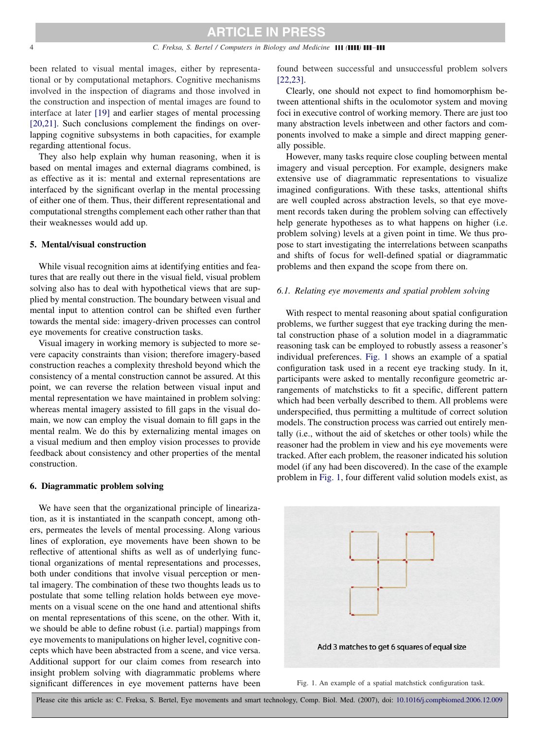been related to visual mental images, either by representational or by computational metaphors. Cognitive mechanisms involved in the inspection of diagrams and those involved in the construction and inspection of mental images are found to interface at later [\[19\]](#page-5-0) and earlier stages of mental processing [20,21]. Such conclusions complement the findings on overlapping cognitive subsystems in both capacities, for example regarding attentional focus.

They also help explain why human reasoning, when it is based on mental images and external diagrams combined, is as effective as it is: mental and external representations are interfaced by the significant overlap in the mental processing of either one of them. Thus, their different representational and computational strengths complement each other rather than that their weaknesses would add up.

# **5. Mental/visual construction**

While visual recognition aims at identifying entities and features that are really out there in the visual field, visual problem solving also has to deal with hypothetical views that are supplied by mental construction. The boundary between visual and mental input to attention control can be shifted even further towards the mental side: imagery-driven processes can control eye movements for creative construction tasks.

Visual imagery in working memory is subjected to more severe capacity constraints than vision; therefore imagery-based construction reaches a complexity threshold beyond which the consistency of a mental construction cannot be assured. At this point, we can reverse the relation between visual input and mental representation we have maintained in problem solving: whereas mental imagery assisted to fill gaps in the visual domain, we now can employ the visual domain to fill gaps in the mental realm. We do this by externalizing mental images on a visual medium and then employ vision processes to provide feedback about consistency and other properties of the mental construction.

## **6. Diagrammatic problem solving**

We have seen that the organizational principle of linearization, as it is instantiated in the scanpath concept, among others, permeates the levels of mental processing. Along various lines of exploration, eye movements have been shown to be reflective of attentional shifts as well as of underlying functional organizations of mental representations and processes, both under conditions that involve visual perception or mental imagery. The combination of these two thoughts leads us to postulate that some telling relation holds between eye movements on a visual scene on the one hand and attentional shifts on mental representations of this scene, on the other. With it, we should be able to define robust (i.e. partial) mappings from eye movements to manipulations on higher level, cognitive concepts which have been abstracted from a scene, and vice versa. Additional support for our claim comes from research into insight problem solving with diagrammatic problems where significant differences in eye movement patterns have been

found between successful and unsuccessful problem solvers [22,23].

Clearly, one should not expect to find homomorphism between attentional shifts in the oculomotor system and moving foci in executive control of working memory. There are just too many abstraction levels inbetween and other factors and components involved to make a simple and direct mapping generally possible.

However, many tasks require close coupling between mental imagery and visual perception. For example, designers make extensive use of diagrammatic representations to visualize imagined configurations. With these tasks, attentional shifts are well coupled across abstraction levels, so that eye movement records taken during the problem solving can effectively help generate hypotheses as to what happens on higher (i.e. problem solving) levels at a given point in time. We thus propose to start investigating the interrelations between scanpaths and shifts of focus for well-defined spatial or diagrammatic problems and then expand the scope from there on.

## *6.1. Relating eye movements and spatial problem solving*

With respect to mental reasoning about spatial configuration problems, we further suggest that eye tracking during the mental construction phase of a solution model in a diagrammatic reasoning task can be employed to robustly assess a reasoner's individual preferences. Fig. 1 shows an example of a spatial configuration task used in a recent eye tracking study. In it, participants were asked to mentally reconfigure geometric arrangements of matchsticks to fit a specific, different pattern which had been verbally described to them. All problems were underspecified, thus permitting a multitude of correct solution models. The construction process was carried out entirely mentally (i.e., without the aid of sketches or other tools) while the reasoner had the problem in view and his eye movements were tracked. After each problem, the reasoner indicated his solution model (if any had been discovered). In the case of the example problem in Fig. 1, four different valid solution models exist, as





Please cite this article as: C. Freksa, S. Bertel, Eye movements and smart technology, Comp. Biol. Med. (2007), doi: [10.1016/j.compbiomed.2006.12.009](http://dx.doi.org/10.1016/j.compbiomed.2006.12.009)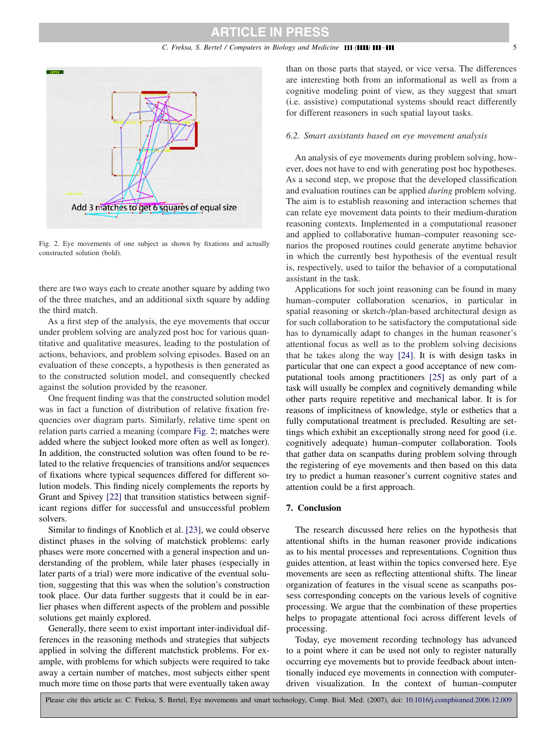

Fig. 2. Eye movements of one subject as shown by fixations and actually constructed solution (bold).

there are two ways each to create another square by adding two of the three matches, and an additional sixth square by adding the third match.

As a first step of the analysis, the eye movements that occur under problem solving are analyzed post hoc for various quantitative and qualitative measures, leading to the postulation of actions, behaviors, and problem solving episodes. Based on an evaluation of these concepts, a hypothesis is then generated as to the constructed solution model, and consequently checked against the solution provided by the reasoner.

One frequent finding was that the constructed solution model was in fact a function of distribution of relative fixation frequencies over diagram parts. Similarly, relative time spent on relation parts carried a meaning (compare Fig. 2; matches were added where the subject looked more often as well as longer). In addition, the constructed solution was often found to be related to the relative frequencies of transitions and/or sequences of fixations where typical sequences differed for different solution models. This finding nicely complements the reports by Grant and Spivey [\[22\]](#page-5-0) that transition statistics between significant regions differ for successful and unsuccessful problem solvers.

Similar to findings of Knoblich et al. [\[23\],](#page-5-0) we could observe distinct phases in the solving of matchstick problems: early phases were more concerned with a general inspection and understanding of the problem, while later phases (especially in later parts of a trial) were more indicative of the eventual solution, suggesting that this was when the solution's construction took place. Our data further suggests that it could be in earlier phases when different aspects of the problem and possible solutions get mainly explored.

Generally, there seem to exist important inter-individual differences in the reasoning methods and strategies that subjects applied in solving the different matchstick problems. For example, with problems for which subjects were required to take away a certain number of matches, most subjects either spent much more time on those parts that were eventually taken away than on those parts that stayed, or vice versa. The differences are interesting both from an informational as well as from a cognitive modeling point of view, as they suggest that smart (i.e. assistive) computational systems should react differently for different reasoners in such spatial layout tasks.

#### *6.2. Smart assistants based on eye movement analysis*

An analysis of eye movements during problem solving, however, does not have to end with generating post hoc hypotheses. As a second step, we propose that the developed classification and evaluation routines can be applied *during* problem solving. The aim is to establish reasoning and interaction schemes that can relate eye movement data points to their medium-duration reasoning contexts. Implemented in a computational reasoner and applied to collaborative human–computer reasoning scenarios the proposed routines could generate anytime behavior in which the currently best hypothesis of the eventual result is, respectively, used to tailor the behavior of a computational assistant in the task.

Applications for such joint reasoning can be found in many human–computer collaboration scenarios, in particular in spatial reasoning or sketch-/plan-based architectural design as for such collaboration to be satisfactory the computational side has to dynamically adapt to changes in the human reasoner's attentional focus as well as to the problem solving decisions that he takes along the way [\[24\].](#page-5-0) It is with design tasks in particular that one can expect a good acceptance of new computational tools among practitioners [\[25\]](#page-5-0) as only part of a task will usually be complex and cognitively demanding while other parts require repetitive and mechanical labor. It is for reasons of implicitness of knowledge, style or esthetics that a fully computational treatment is precluded. Resulting are settings which exhibit an exceptionally strong need for good (i.e. cognitively adequate) human–computer collaboration. Tools that gather data on scanpaths during problem solving through the registering of eye movements and then based on this data try to predict a human reasoner's current cognitive states and attention could be a first approach.

## **7. Conclusion**

The research discussed here relies on the hypothesis that attentional shifts in the human reasoner provide indications as to his mental processes and representations. Cognition thus guides attention, at least within the topics conversed here. Eye movements are seen as reflecting attentional shifts. The linear organization of features in the visual scene as scanpaths possess corresponding concepts on the various levels of cognitive processing. We argue that the combination of these properties helps to propagate attentional foci across different levels of processing.

Today, eye movement recording technology has advanced to a point where it can be used not only to register naturally occurring eye movements but to provide feedback about intentionally induced eye movements in connection with computerdriven visualization. In the context of human–computer